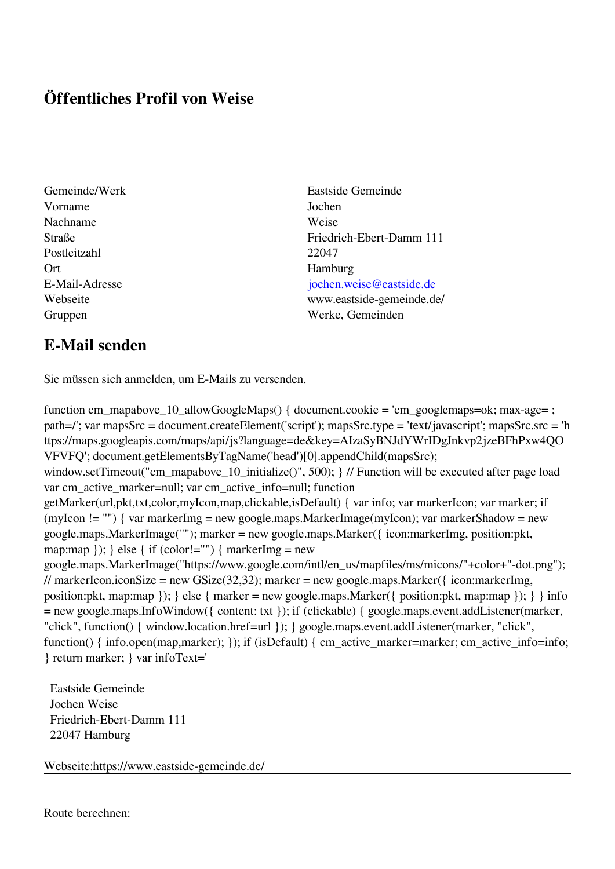## **Öffentliches Profil von Weise**

- Vorname Jochen Nachname Weise Postleitzahl 22047 Ort Hamburg
- Gemeinde/Werk Eastside Gemeinde Straße Friedrich-Ebert-Damm 111 E-Mail-Adresse [jochen.weise@eastside.de](mailto:jochen.weise@eastside.de) Webseite www.eastside-gemeinde.de/ Gruppen Werke, Gemeinden

## **E-Mail senden**

Sie müssen sich anmelden, um E-Mails zu versenden.

function cm\_mapabove\_10\_allowGoogleMaps() { document.cookie = 'cm\_googlemaps=ok; max-age= ; path=/'; var mapsSrc = document.createElement('script'); mapsSrc.type = 'text/javascript'; mapsSrc.src = 'h ttps://maps.googleapis.com/maps/api/js?language=de&key=AIzaSyBNJdYWrIDgJnkvp2jzeBFhPxw4QO VFVFQ'; document.getElementsByTagName('head')[0].appendChild(mapsSrc); window.setTimeout("cm\_mapabove\_10\_initialize()", 500); } // Function will be executed after page load var cm\_active\_marker=null; var cm\_active\_info=null; function getMarker(url,pkt,txt,color,myIcon,map,clickable,isDefault) { var info; var markerIcon; var marker; if (myIcon != "") { var markerImg = new google.maps.MarkerImage(myIcon); var markerShadow = new google.maps.MarkerImage(""); marker = new google.maps.Marker({ icon:markerImg, position:pkt, map:map  $\}$ ;  $\}$  else  $\{$  if (color!="")  $\{$  markerImg = new google.maps.MarkerImage("https://www.google.com/intl/en\_us/mapfiles/ms/micons/"+color+"-dot.png"); // markerIcon.iconSize = new GSize(32,32); marker = new google.maps.Marker({ $\epsilon$  icon:markerImg, position:pkt, map:map  $\}$ ;  $\}$  else  $\{$  marker = new google.maps.Marker $(\{$  position:pkt, map:map  $\})$ ;  $\}$  info = new google.maps.InfoWindow({ content: txt }); if (clickable) { google.maps.event.addListener(marker, "click", function() { window.location.href=url }); } google.maps.event.addListener(marker, "click", function() { info.open(map,marker); }); if (isDefault) { cm\_active\_marker=marker; cm\_active\_info=info; } return marker; } var infoText='

 Eastside Gemeinde Jochen Weise Friedrich-Ebert-Damm 111 22047 Hamburg

Webseite:https://www.eastside-gemeinde.de/